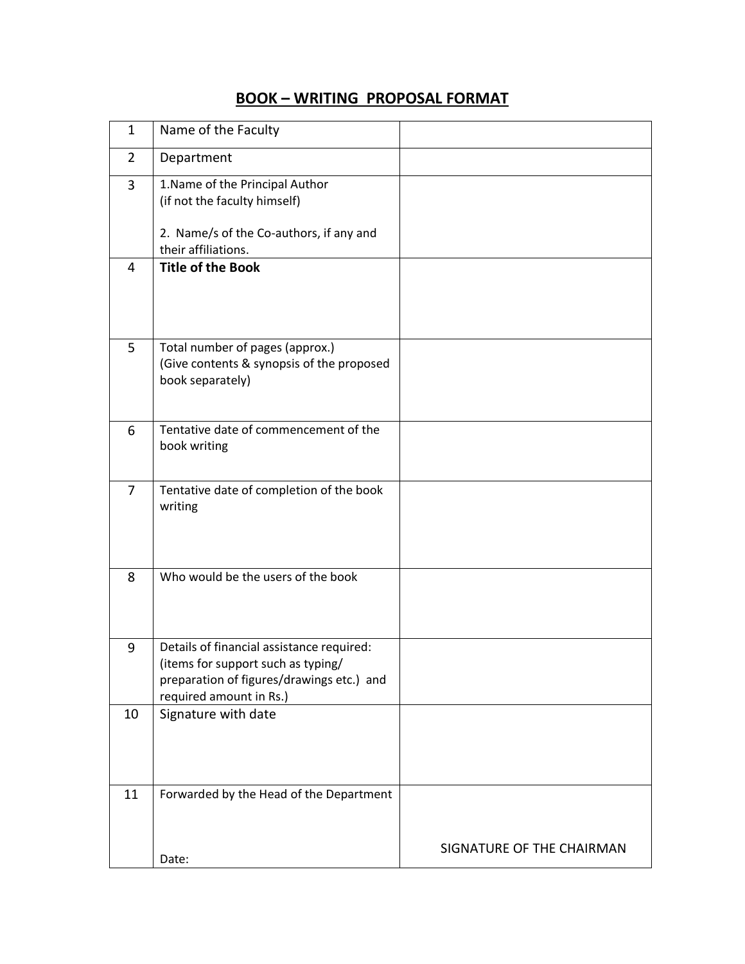## **BOOK – WRITING PROPOSAL FORMAT**

| $\mathbf{1}$   | Name of the Faculty                                                                                                                                     |                           |
|----------------|---------------------------------------------------------------------------------------------------------------------------------------------------------|---------------------------|
| 2              | Department                                                                                                                                              |                           |
| 3              | 1. Name of the Principal Author<br>(if not the faculty himself)<br>2. Name/s of the Co-authors, if any and                                              |                           |
|                | their affiliations.                                                                                                                                     |                           |
| $\overline{4}$ | <b>Title of the Book</b>                                                                                                                                |                           |
| 5              | Total number of pages (approx.)<br>(Give contents & synopsis of the proposed<br>book separately)                                                        |                           |
| 6              | Tentative date of commencement of the<br>book writing                                                                                                   |                           |
| $\overline{7}$ | Tentative date of completion of the book<br>writing                                                                                                     |                           |
| 8              | Who would be the users of the book                                                                                                                      |                           |
| 9              | Details of financial assistance required:<br>(items for support such as typing/<br>preparation of figures/drawings etc.) and<br>required amount in Rs.) |                           |
| 10             | Signature with date                                                                                                                                     |                           |
| 11             | Forwarded by the Head of the Department                                                                                                                 |                           |
|                | Date:                                                                                                                                                   | SIGNATURE OF THE CHAIRMAN |